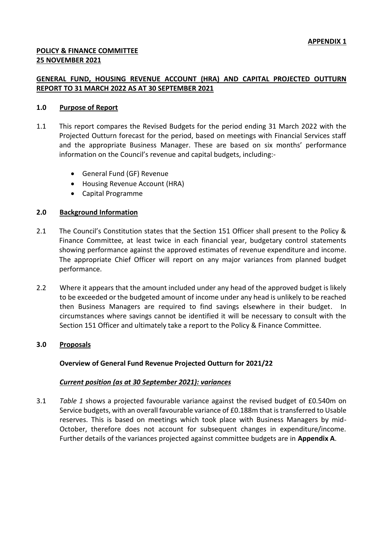# **POLICY & FINANCE COMMITTEE 25 NOVEMBER 2021**

## **GENERAL FUND, HOUSING REVENUE ACCOUNT (HRA) AND CAPITAL PROJECTED OUTTURN REPORT TO 31 MARCH 2022 AS AT 30 SEPTEMBER 2021**

### **1.0 Purpose of Report**

- 1.1 This report compares the Revised Budgets for the period ending 31 March 2022 with the Projected Outturn forecast for the period, based on meetings with Financial Services staff and the appropriate Business Manager. These are based on six months' performance information on the Council's revenue and capital budgets, including:-
	- General Fund (GF) Revenue
	- Housing Revenue Account (HRA)
	- Capital Programme

### **2.0 Background Information**

- 2.1 The Council's Constitution states that the Section 151 Officer shall present to the Policy & Finance Committee, at least twice in each financial year, budgetary control statements showing performance against the approved estimates of revenue expenditure and income. The appropriate Chief Officer will report on any major variances from planned budget performance.
- 2.2 Where it appears that the amount included under any head of the approved budget is likely to be exceeded or the budgeted amount of income under any head is unlikely to be reached then Business Managers are required to find savings elsewhere in their budget. circumstances where savings cannot be identified it will be necessary to consult with the Section 151 Officer and ultimately take a report to the Policy & Finance Committee.

### **3.0 Proposals**

### **Overview of General Fund Revenue Projected Outturn for 2021/22**

### *Current position (as at 30 September 2021): variances*

3.1 *Table 1* shows a projected favourable variance against the revised budget of £0.540m on Service budgets, with an overall favourable variance of £0.188m that is transferred to Usable reserves. This is based on meetings which took place with Business Managers by mid-October, therefore does not account for subsequent changes in expenditure/income. Further details of the variances projected against committee budgets are in **Appendix A**.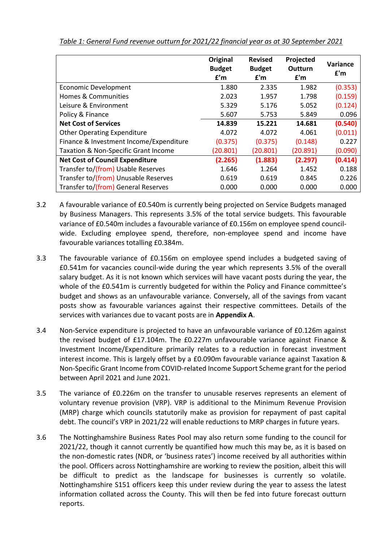|                                         | Original<br><b>Budget</b><br>f'm | <b>Revised</b><br><b>Budget</b><br>f'm | Projected<br>Outturn<br>f'm | Variance<br>£'m |
|-----------------------------------------|----------------------------------|----------------------------------------|-----------------------------|-----------------|
| <b>Economic Development</b>             | 1.880                            | 2.335                                  | 1.982                       | (0.353)         |
| Homes & Communities                     | 2.023                            | 1.957                                  | 1.798                       | (0.159)         |
| Leisure & Environment                   | 5.329                            | 5.176                                  | 5.052                       | (0.124)         |
| Policy & Finance                        | 5.607                            | 5.753                                  | 5.849                       | 0.096           |
| <b>Net Cost of Services</b>             | 14.839                           | 15.221                                 | 14.681                      | (0.540)         |
| <b>Other Operating Expenditure</b>      | 4.072                            | 4.072                                  | 4.061                       | (0.011)         |
| Finance & Investment Income/Expenditure | (0.375)                          | (0.375)                                | (0.148)                     | 0.227           |
| Taxation & Non-Specific Grant Income    | (20.801)                         | (20.801)                               | (20.891)                    | (0.090)         |
| <b>Net Cost of Council Expenditure</b>  | (2.265)                          | (1.883)                                | (2.297)                     | (0.414)         |
| Transfer to/(from) Usable Reserves      | 1.646                            | 1.264                                  | 1.452                       | 0.188           |
| Transfer to/(from) Unusable Reserves    | 0.619                            | 0.619                                  | 0.845                       | 0.226           |
| Transfer to/(from) General Reserves     | 0.000                            | 0.000                                  | 0.000                       | 0.000           |

*Table 1: General Fund revenue outturn for 2021/22 financial year as at 30 September 2021*

- 3.2 A favourable variance of £0.540m is currently being projected on Service Budgets managed by Business Managers. This represents 3.5% of the total service budgets. This favourable variance of £0.540m includes a favourable variance of £0.156m on employee spend councilwide. Excluding employee spend, therefore, non-employee spend and income have favourable variances totalling £0.384m.
- 3.3 The favourable variance of £0.156m on employee spend includes a budgeted saving of £0.541m for vacancies council-wide during the year which represents 3.5% of the overall salary budget. As it is not known which services will have vacant posts during the year, the whole of the £0.541m is currently budgeted for within the Policy and Finance committee's budget and shows as an unfavourable variance. Conversely, all of the savings from vacant posts show as favourable variances against their respective committees. Details of the services with variances due to vacant posts are in **Appendix A**.
- 3.4 Non-Service expenditure is projected to have an unfavourable variance of £0.126m against the revised budget of £17.104m. The £0.227m unfavourable variance against Finance & Investment Income/Expenditure primarily relates to a reduction in forecast investment interest income. This is largely offset by a £0.090m favourable variance against Taxation & Non-Specific Grant Income from COVID-related Income Support Scheme grant for the period between April 2021 and June 2021.
- 3.5 The variance of £0.226m on the transfer to unusable reserves represents an element of voluntary revenue provision (VRP). VRP is additional to the Minimum Revenue Provision (MRP) charge which councils statutorily make as provision for repayment of past capital debt. The council's VRP in 2021/22 will enable reductions to MRP charges in future years.
- 3.6 The Nottinghamshire Business Rates Pool may also return some funding to the council for 2021/22, though it cannot currently be quantified how much this may be, as it is based on the non-domestic rates (NDR, or 'business rates') income received by all authorities within the pool. Officers across Nottinghamshire are working to review the position, albeit this will be difficult to predict as the landscape for businesses is currently so volatile. Nottinghamshire S151 officers keep this under review during the year to assess the latest information collated across the County. This will then be fed into future forecast outturn reports.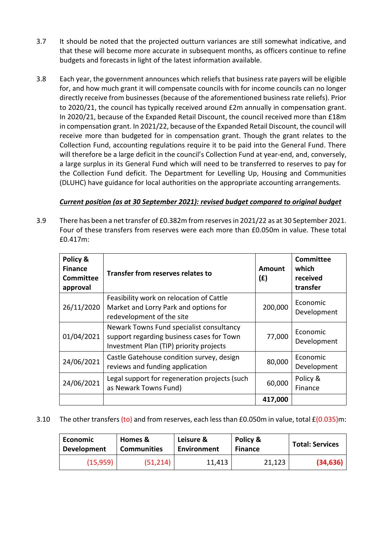- 3.7 It should be noted that the projected outturn variances are still somewhat indicative, and that these will become more accurate in subsequent months, as officers continue to refine budgets and forecasts in light of the latest information available.
- 3.8 Each year, the government announces which reliefs that business rate payers will be eligible for, and how much grant it will compensate councils with for income councils can no longer directly receive from businesses (because of the aforementioned business rate reliefs). Prior to 2020/21, the council has typically received around £2m annually in compensation grant. In 2020/21, because of the Expanded Retail Discount, the council received more than £18m in compensation grant. In 2021/22, because of the Expanded Retail Discount, the council will receive more than budgeted for in compensation grant. Though the grant relates to the Collection Fund, accounting regulations require it to be paid into the General Fund. There will therefore be a large deficit in the council's Collection Fund at year-end, and, conversely, a large surplus in its General Fund which will need to be transferred to reserves to pay for the Collection Fund deficit. The Department for Levelling Up, Housing and Communities (DLUHC) have guidance for local authorities on the appropriate accounting arrangements.

# *Current position (as at 30 September 2021): revised budget compared to original budget*

3.9 There has been a net transfer of £0.382m from reserves in 2021/22 as at 30 September 2021. Four of these transfers from reserves were each more than £0.050m in value. These total £0.417m:

| Policy &<br><b>Finance</b><br><b>Committee</b><br>approval | <b>Transfer from reserves relates to</b>                                                                                         | Amount<br>(E) | <b>Committee</b><br>which<br>received<br>transfer |
|------------------------------------------------------------|----------------------------------------------------------------------------------------------------------------------------------|---------------|---------------------------------------------------|
| 26/11/2020                                                 | Feasibility work on relocation of Cattle<br>Market and Lorry Park and options for<br>redevelopment of the site                   | 200,000       | Economic<br>Development                           |
| 01/04/2021                                                 | Newark Towns Fund specialist consultancy<br>support regarding business cases for Town<br>Investment Plan (TIP) priority projects | 77,000        | Economic<br>Development                           |
| 24/06/2021                                                 | Castle Gatehouse condition survey, design<br>reviews and funding application                                                     | 80,000        | Economic<br>Development                           |
| 24/06/2021                                                 | Legal support for regeneration projects (such<br>as Newark Towns Fund)                                                           | 60,000        | Policy &<br>Finance                               |
|                                                            |                                                                                                                                  | 417,000       |                                                   |

## 3.10 The other transfers (to) and from reserves, each less than £0.050m in value, total £(0.035)m:

| Economic           | Homes &            | Leisure &   | Policy &       | <b>Total: Services</b> |
|--------------------|--------------------|-------------|----------------|------------------------|
| <b>Development</b> | <b>Communities</b> | Environment | <b>Finance</b> |                        |
| (15, 959)          | (51,214)           | 11,413      | 21,123         | (34, 636)              |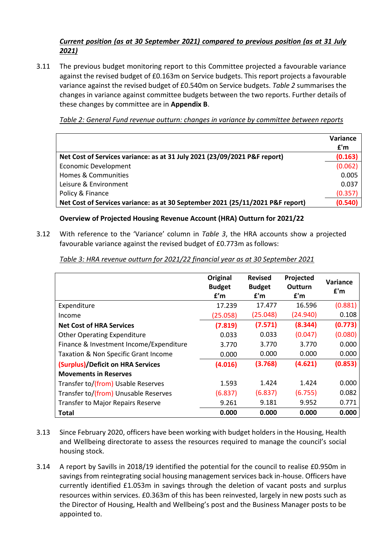# *Current position (as at 30 September 2021) compared to previous position (as at 31 July 2021)*

3.11 The previous budget monitoring report to this Committee projected a favourable variance against the revised budget of £0.163m on Service budgets. This report projects a favourable variance against the revised budget of £0.540m on Service budgets. *Table 2* summarises the changes in variance against committee budgets between the two reports. Further details of these changes by committee are in **Appendix B**.

*Table 2: General Fund revenue outturn: changes in variance by committee between reports*

|                                                                                | Variance |
|--------------------------------------------------------------------------------|----------|
|                                                                                | f'm      |
| Net Cost of Services variance: as at 31 July 2021 (23/09/2021 P&F report)      | (0.163)  |
| <b>Economic Development</b>                                                    | (0.062)  |
| Homes & Communities                                                            | 0.005    |
| Leisure & Environment                                                          | 0.037    |
| Policy & Finance                                                               | (0.357)  |
| Net Cost of Services variance: as at 30 September 2021 (25/11/2021 P&F report) | (0.540)  |

## **Overview of Projected Housing Revenue Account (HRA) Outturn for 2021/22**

3.12 With reference to the 'Variance' column in *Table 3*, the HRA accounts show a projected favourable variance against the revised budget of £0.773m as follows:

|                                          | Original<br><b>Budget</b><br>f'm | <b>Revised</b><br><b>Budget</b><br>f'm | Projected<br>Outturn<br>f'm | <b>Variance</b><br>f'm |
|------------------------------------------|----------------------------------|----------------------------------------|-----------------------------|------------------------|
| Expenditure                              | 17.239                           | 17.477                                 | 16.596                      | (0.881)                |
| Income                                   | (25.058)                         | (25.048)                               | (24.940)                    | 0.108                  |
| <b>Net Cost of HRA Services</b>          | (7.819)                          | (7.571)                                | (8.344)                     | (0.773)                |
| <b>Other Operating Expenditure</b>       | 0.033                            | 0.033                                  | (0.047)                     | (0.080)                |
| Finance & Investment Income/Expenditure  | 3.770                            | 3.770                                  | 3.770                       | 0.000                  |
| Taxation & Non Specific Grant Income     | 0.000                            | 0.000                                  | 0.000                       | 0.000                  |
| (Surplus)/Deficit on HRA Services        | (4.016)                          | (3.768)                                | (4.621)                     | (0.853)                |
| <b>Movements in Reserves</b>             |                                  |                                        |                             |                        |
| Transfer to/(from) Usable Reserves       | 1.593                            | 1.424                                  | 1.424                       | 0.000                  |
| Transfer to/(from) Unusable Reserves     | (6.837)                          | (6.837)                                | (6.755)                     | 0.082                  |
| <b>Transfer to Major Repairs Reserve</b> | 9.261                            | 9.181                                  | 9.952                       | 0.771                  |
| Total                                    | 0.000                            | 0.000                                  | 0.000                       | 0.000                  |

*Table 3: HRA revenue outturn for 2021/22 financial year as at 30 September 2021*

- 3.13 Since February 2020, officers have been working with budget holders in the Housing, Health and Wellbeing directorate to assess the resources required to manage the council's social housing stock.
- 3.14 A report by Savills in 2018/19 identified the potential for the council to realise £0.950m in savings from reintegrating social housing management services back in-house. Officers have currently identified £1.053m in savings through the deletion of vacant posts and surplus resources within services. £0.363m of this has been reinvested, largely in new posts such as the Director of Housing, Health and Wellbeing's post and the Business Manager posts to be appointed to.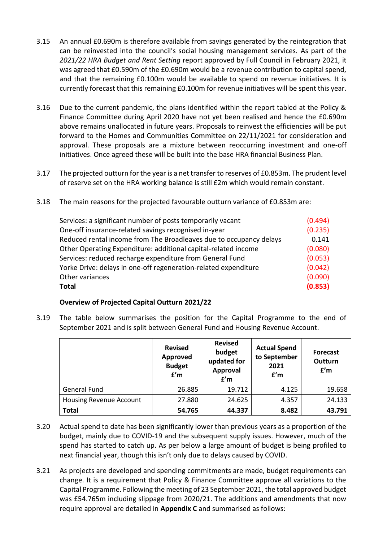- 3.15 An annual £0.690m is therefore available from savings generated by the reintegration that can be reinvested into the council's social housing management services. As part of the *2021/22 HRA Budget and Rent Setting* report approved by Full Council in February 2021, it was agreed that £0.590m of the £0.690m would be a revenue contribution to capital spend, and that the remaining £0.100m would be available to spend on revenue initiatives. It is currently forecast that this remaining £0.100m for revenue initiatives will be spent this year.
- 3.16 Due to the current pandemic, the plans identified within the report tabled at the Policy & Finance Committee during April 2020 have not yet been realised and hence the £0.690m above remains unallocated in future years. Proposals to reinvest the efficiencies will be put forward to the Homes and Communities Committee on 22/11/2021 for consideration and approval. These proposals are a mixture between reoccurring investment and one-off initiatives. Once agreed these will be built into the base HRA financial Business Plan.
- 3.17 The projected outturn for the year is a net transfer to reserves of £0.853m. The prudent level of reserve set on the HRA working balance is still £2m which would remain constant.
- 3.18 The main reasons for the projected favourable outturn variance of £0.853m are:

| Services: a significant number of posts temporarily vacant         | (0.494) |
|--------------------------------------------------------------------|---------|
| One-off insurance-related savings recognised in-year               | (0.235) |
| Reduced rental income from The Broadleaves due to occupancy delays | 0.141   |
| Other Operating Expenditure: additional capital-related income     | (0.080) |
| Services: reduced recharge expenditure from General Fund           | (0.053) |
| Yorke Drive: delays in one-off regeneration-related expenditure    | (0.042) |
| Other variances                                                    | (0.090) |
| <b>Total</b>                                                       | (0.853) |

## **Overview of Projected Capital Outturn 2021/22**

3.19 The table below summarises the position for the Capital Programme to the end of September 2021 and is split between General Fund and Housing Revenue Account.

|                                | <b>Revised</b><br>Approved<br><b>Budget</b><br>f'm | <b>Revised</b><br>budget<br>updated for<br>Approval<br>f'm | <b>Actual Spend</b><br>to September<br>2021<br>f'm | <b>Forecast</b><br>Outturn<br>f'm |
|--------------------------------|----------------------------------------------------|------------------------------------------------------------|----------------------------------------------------|-----------------------------------|
| <b>General Fund</b>            | 26.885                                             | 19.712                                                     | 4.125                                              | 19.658                            |
| <b>Housing Revenue Account</b> | 27.880                                             | 24.625                                                     | 4.357                                              | 24.133                            |
| <b>Total</b>                   | 54.765                                             | 44.337                                                     | 8.482                                              | 43.791                            |

- 3.20 Actual spend to date has been significantly lower than previous years as a proportion of the budget, mainly due to COVID-19 and the subsequent supply issues. However, much of the spend has started to catch up. As per below a large amount of budget is being profiled to next financial year, though this isn't only due to delays caused by COVID.
- 3.21 As projects are developed and spending commitments are made, budget requirements can change. It is a requirement that Policy & Finance Committee approve all variations to the Capital Programme. Following the meeting of 23 September 2021, the total approved budget was £54.765m including slippage from 2020/21. The additions and amendments that now require approval are detailed in **Appendix C** and summarised as follows: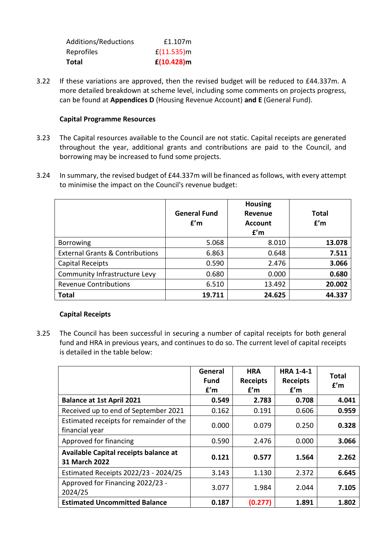| Total                | $f(10.428)$ m |
|----------------------|---------------|
| Reprofiles           | f(11.535)m    |
| Additions/Reductions | £1.107m       |

3.22 If these variations are approved, then the revised budget will be reduced to £44.337m. A more detailed breakdown at scheme level, including some comments on projects progress, can be found at **Appendices D** (Housing Revenue Account) **and E** (General Fund).

### **Capital Programme Resources**

- 3.23 The Capital resources available to the Council are not static. Capital receipts are generated throughout the year, additional grants and contributions are paid to the Council, and borrowing may be increased to fund some projects.
- 3.24 In summary, the revised budget of £44.337m will be financed as follows, with every attempt to minimise the impact on the Council's revenue budget:

|                                            | <b>General Fund</b><br>f'm | <b>Housing</b><br>Revenue<br><b>Account</b><br>f'm | <b>Total</b><br>f'm |
|--------------------------------------------|----------------------------|----------------------------------------------------|---------------------|
| <b>Borrowing</b>                           | 5.068                      | 8.010                                              | 13.078              |
| <b>External Grants &amp; Contributions</b> | 6.863                      | 0.648                                              | 7.511               |
| <b>Capital Receipts</b>                    | 0.590                      | 2.476                                              | 3.066               |
| Community Infrastructure Levy              | 0.680                      | 0.000                                              | 0.680               |
| <b>Revenue Contributions</b>               | 6.510                      | 13.492                                             | 20.002              |
| <b>Total</b>                               | 19.711                     | 24.625                                             | 44.337              |

### **Capital Receipts**

3.25 The Council has been successful in securing a number of capital receipts for both general fund and HRA in previous years, and continues to do so. The current level of capital receipts is detailed in the table below:

|                                                           | General<br><b>Fund</b><br>f'm | <b>HRA</b><br><b>Receipts</b><br>f'm | <b>HRA 1-4-1</b><br><b>Receipts</b><br>f'm | <b>Total</b><br>f'm |
|-----------------------------------------------------------|-------------------------------|--------------------------------------|--------------------------------------------|---------------------|
| <b>Balance at 1st April 2021</b>                          | 0.549                         | 2.783                                | 0.708                                      | 4.041               |
| Received up to end of September 2021                      | 0.162                         | 0.191                                | 0.606                                      | 0.959               |
| Estimated receipts for remainder of the<br>financial year | 0.000                         | 0.079                                | 0.250                                      | 0.328               |
| Approved for financing                                    | 0.590                         | 2.476                                | 0.000                                      | 3.066               |
| Available Capital receipts balance at<br>31 March 2022    | 0.121                         | 0.577                                | 1.564                                      | 2.262               |
| Estimated Receipts 2022/23 - 2024/25                      | 3.143                         | 1.130                                | 2.372                                      | 6.645               |
| Approved for Financing 2022/23 -<br>2024/25               | 3.077                         | 1.984                                | 2.044                                      | 7.105               |
| <b>Estimated Uncommitted Balance</b>                      | 0.187                         | (0.277)                              | 1.891                                      | 1.802               |